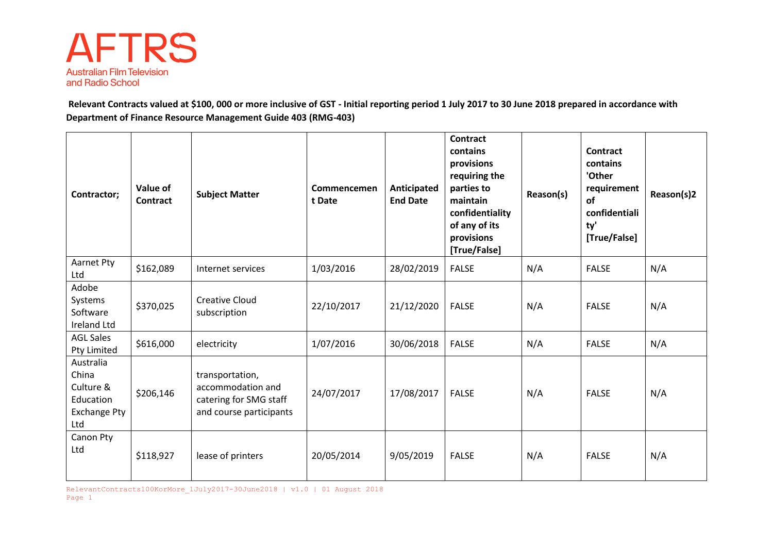

**Relevant Contracts valued at \$100, 000 or more inclusive of GST - Initial reporting period 1 July 2017 to 30 June 2018 prepared in accordance with Department of Finance Resource Management Guide 403 (RMG-403)**

| Contractor;                                                                | Value of<br><b>Contract</b> | <b>Subject Matter</b>                                                                     | Commencemen<br>t Date | Anticipated<br><b>End Date</b> | <b>Contract</b><br>contains<br>provisions<br>requiring the<br>parties to<br>maintain<br>confidentiality<br>of any of its<br>provisions<br>[True/False] | Reason(s) | Contract<br>contains<br>'Other<br>requirement<br>of<br>confidentiali<br>ty'<br>[True/False] | Reason(s)2 |
|----------------------------------------------------------------------------|-----------------------------|-------------------------------------------------------------------------------------------|-----------------------|--------------------------------|--------------------------------------------------------------------------------------------------------------------------------------------------------|-----------|---------------------------------------------------------------------------------------------|------------|
| Aarnet Pty<br>Ltd                                                          | \$162,089                   | Internet services                                                                         | 1/03/2016             | 28/02/2019                     | <b>FALSE</b>                                                                                                                                           | N/A       | <b>FALSE</b>                                                                                | N/A        |
| Adobe<br>Systems<br>Software<br><b>Ireland Ltd</b>                         | \$370,025                   | <b>Creative Cloud</b><br>subscription                                                     | 22/10/2017            | 21/12/2020                     | <b>FALSE</b>                                                                                                                                           | N/A       | <b>FALSE</b>                                                                                | N/A        |
| <b>AGL Sales</b><br>Pty Limited                                            | \$616,000                   | electricity                                                                               | 1/07/2016             | 30/06/2018                     | <b>FALSE</b>                                                                                                                                           | N/A       | <b>FALSE</b>                                                                                | N/A        |
| Australia<br>China<br>Culture &<br>Education<br><b>Exchange Pty</b><br>Ltd | \$206,146                   | transportation,<br>accommodation and<br>catering for SMG staff<br>and course participants | 24/07/2017            | 17/08/2017                     | <b>FALSE</b>                                                                                                                                           | N/A       | <b>FALSE</b>                                                                                | N/A        |
| Canon Pty<br>Ltd                                                           | \$118,927                   | lease of printers                                                                         | 20/05/2014            | 9/05/2019                      | <b>FALSE</b>                                                                                                                                           | N/A       | <b>FALSE</b>                                                                                | N/A        |

RelevantContracts100KorMore 1July2017-30June2018 | v1.0 | 01 August 2018 Page 1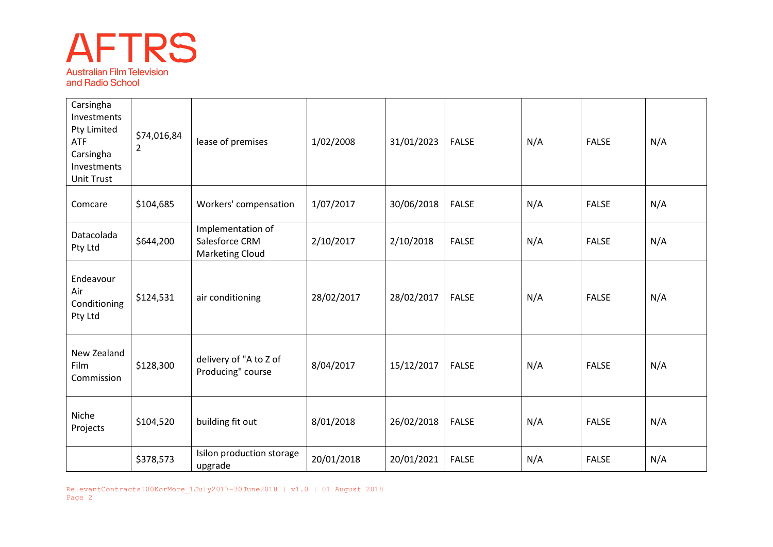## **AFTRS Australian Film Television**

and Radio School

| Carsingha<br>Investments<br>Pty Limited<br><b>ATF</b><br>Carsingha<br>Investments<br><b>Unit Trust</b> | \$74,016,84<br>$\overline{2}$ | lease of premises                                             | 1/02/2008  | 31/01/2023 | <b>FALSE</b> | N/A | <b>FALSE</b> | N/A |
|--------------------------------------------------------------------------------------------------------|-------------------------------|---------------------------------------------------------------|------------|------------|--------------|-----|--------------|-----|
| Comcare                                                                                                | \$104,685                     | Workers' compensation                                         | 1/07/2017  | 30/06/2018 | <b>FALSE</b> | N/A | <b>FALSE</b> | N/A |
| Datacolada<br>Pty Ltd                                                                                  | \$644,200                     | Implementation of<br>Salesforce CRM<br><b>Marketing Cloud</b> | 2/10/2017  | 2/10/2018  | <b>FALSE</b> | N/A | <b>FALSE</b> | N/A |
| Endeavour<br>Air<br>Conditioning<br>Pty Ltd                                                            | \$124,531                     | air conditioning                                              | 28/02/2017 | 28/02/2017 | <b>FALSE</b> | N/A | <b>FALSE</b> | N/A |
| New Zealand<br>Film<br>Commission                                                                      | \$128,300                     | delivery of "A to Z of<br>Producing" course                   | 8/04/2017  | 15/12/2017 | <b>FALSE</b> | N/A | <b>FALSE</b> | N/A |
| Niche<br>Projects                                                                                      | \$104,520                     | building fit out                                              | 8/01/2018  | 26/02/2018 | <b>FALSE</b> | N/A | <b>FALSE</b> | N/A |
|                                                                                                        | \$378,573                     | Isilon production storage<br>upgrade                          | 20/01/2018 | 20/01/2021 | <b>FALSE</b> | N/A | <b>FALSE</b> | N/A |

RelevantContracts100KorMore\_1July2017-30June2018 | v1.0 | 01 August 2018 Page 2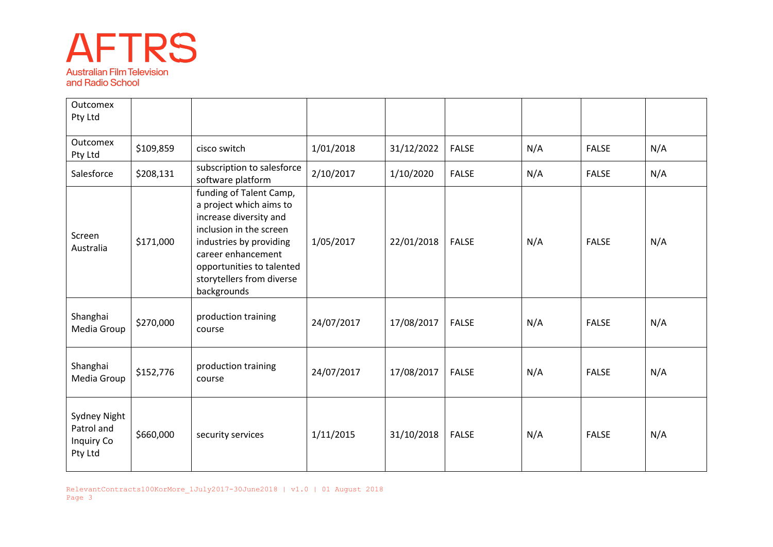## **AFTRS Australian Film Television** and Radio School

| <b>Outcomex</b><br>Pty Ltd                          |           |                                                                                                                                                                                                                                   |            |            |              |     |              |     |
|-----------------------------------------------------|-----------|-----------------------------------------------------------------------------------------------------------------------------------------------------------------------------------------------------------------------------------|------------|------------|--------------|-----|--------------|-----|
| <b>Outcomex</b><br>Pty Ltd                          | \$109,859 | cisco switch                                                                                                                                                                                                                      | 1/01/2018  | 31/12/2022 | <b>FALSE</b> | N/A | <b>FALSE</b> | N/A |
| Salesforce                                          | \$208,131 | subscription to salesforce<br>software platform                                                                                                                                                                                   | 2/10/2017  | 1/10/2020  | <b>FALSE</b> | N/A | <b>FALSE</b> | N/A |
| Screen<br>Australia                                 | \$171,000 | funding of Talent Camp,<br>a project which aims to<br>increase diversity and<br>inclusion in the screen<br>industries by providing<br>career enhancement<br>opportunities to talented<br>storytellers from diverse<br>backgrounds | 1/05/2017  | 22/01/2018 | <b>FALSE</b> | N/A | <b>FALSE</b> | N/A |
| Shanghai<br>Media Group                             | \$270,000 | production training<br>course                                                                                                                                                                                                     | 24/07/2017 | 17/08/2017 | <b>FALSE</b> | N/A | <b>FALSE</b> | N/A |
| Shanghai<br>Media Group                             | \$152,776 | production training<br>course                                                                                                                                                                                                     | 24/07/2017 | 17/08/2017 | <b>FALSE</b> | N/A | <b>FALSE</b> | N/A |
| Sydney Night<br>Patrol and<br>Inquiry Co<br>Pty Ltd | \$660,000 | security services                                                                                                                                                                                                                 | 1/11/2015  | 31/10/2018 | <b>FALSE</b> | N/A | <b>FALSE</b> | N/A |